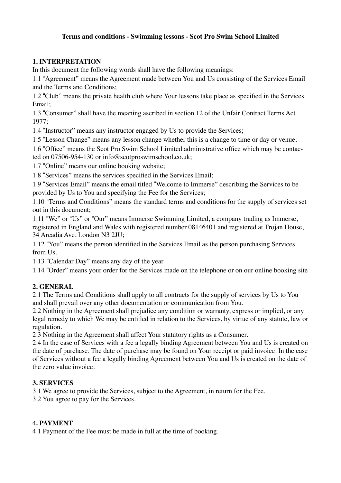### **Terms and conditions - Swimming lessons - Scot Pro Swim School Limited**

### **1. INTERPRETATION**

In this document the following words shall have the following meanings:

1.1 "Agreement" means the Agreement made between You and Us consisting of the Services Email and the Terms and Conditions;

1.2 "Club" means the private health club where Your lessons take place as specified in the Services Email;

1.3 "Consumer" shall have the meaning ascribed in section 12 of the Unfair Contract Terms Act 1977;

1.4 "Instructor" means any instructor engaged by Us to provide the Services;

1.5 "Lesson Change" means any lesson change whether this is a change to time or day or venue;

1.6 "Office" means the Scot Pro Swim School Limited administrative office which may be contacted on 07506-954-130 or info@scotproswimschool.co.uk;

1.7 "Online" means our online booking website;

1.8 "Services" means the services specified in the Services Email;

1.9 "Services Email" means the email titled "Welcome to Immerse" describing the Services to be provided by Us to You and specifying the Fee for the Services;

1.10 "Terms and Conditions" means the standard terms and conditions for the supply of services set out in this document;

1.11 "We" or "Us" or "Our" means Immerse Swimming Limited, a company trading as Immerse, registered in England and Wales with registered number 08146401 and registered at Trojan House, 34 Arcadia Ave, London N3 2JU;

1.12 "You" means the person identified in the Services Email as the person purchasing Services from Us.

1.13 "Calendar Day" means any day of the year

1.14 "Order" means your order for the Services made on the telephone or on our online booking site

# **2. GENERAL**

2.1 The Terms and Conditions shall apply to all contracts for the supply of services by Us to You and shall prevail over any other documentation or communication from You.

2.2 Nothing in the Agreement shall prejudice any condition or warranty, express or implied, or any legal remedy to which We may be entitled in relation to the Services, by virtue of any statute, law or regulation.

2.3 Nothing in the Agreement shall affect Your statutory rights as a Consumer.

2.4 In the case of Services with a fee a legally binding Agreement between You and Us is created on the date of purchase. The date of purchase may be found on Your receipt or paid invoice. In the case of Services without a fee a legally binding Agreement between You and Us is created on the date of the zero value invoice.

# **3. SERVICES**

3.1 We agree to provide the Services, subject to the Agreement, in return for the Fee.

3.2 You agree to pay for the Services.

#### 4**. PAYMENT**

4.1 Payment of the Fee must be made in full at the time of booking.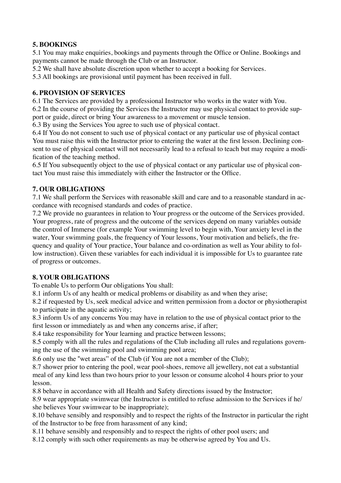# **5. BOOKINGS**

5.1 You may make enquiries, bookings and payments through the Office or Online. Bookings and payments cannot be made through the Club or an Instructor.

5.2 We shall have absolute discretion upon whether to accept a booking for Services.

5.3 All bookings are provisional until payment has been received in full.

#### **6. PROVISION OF SERVICES**

6.1 The Services are provided by a professional Instructor who works in the water with You.

6.2 In the course of providing the Services the Instructor may use physical contact to provide support or guide, direct or bring Your awareness to a movement or muscle tension.

6.3 By using the Services You agree to such use of physical contact.

6.4 If You do not consent to such use of physical contact or any particular use of physical contact You must raise this with the Instructor prior to entering the water at the first lesson. Declining consent to use of physical contact will not necessarily lead to a refusal to teach but may require a modification of the teaching method.

6.5 If You subsequently object to the use of physical contact or any particular use of physical contact You must raise this immediately with either the Instructor or the Office.

# **7. OUR OBLIGATIONS**

7.1 We shall perform the Services with reasonable skill and care and to a reasonable standard in accordance with recognised standards and codes of practice.

7.2 We provide no guarantees in relation to Your progress or the outcome of the Services provided. Your progress, rate of progress and the outcome of the services depend on many variables outside the control of Immerse (for example Your swimming level to begin with, Your anxiety level in the water, Your swimming goals, the frequency of Your lessons, Your motivation and beliefs, the frequency and quality of Your practice, Your balance and co-ordination as well as Your ability to follow instruction). Given these variables for each individual it is impossible for Us to guarantee rate of progress or outcomes.

# **8. YOUR OBLIGATIONS**

To enable Us to perform Our obligations You shall:

8.1 inform Us of any health or medical problems or disability as and when they arise;

8.2 if requested by Us, seek medical advice and written permission from a doctor or physiotherapist to participate in the aquatic activity;

8.3 inform Us of any concerns You may have in relation to the use of physical contact prior to the first lesson or immediately as and when any concerns arise, if after;

8.4 take responsibility for Your learning and practice between lessons;

8.5 comply with all the rules and regulations of the Club including all rules and regulations governing the use of the swimming pool and swimming pool area;

8.6 only use the "wet areas" of the Club (if You are not a member of the Club);

8.7 shower prior to entering the pool, wear pool-shoes, remove all jewellery, not eat a substantial meal of any kind less than two hours prior to your lesson or consume alcohol 4 hours prior to your lesson.

8.8 behave in accordance with all Health and Safety directions issued by the Instructor;

8.9 wear appropriate swimwear (the Instructor is entitled to refuse admission to the Services if he/ she believes Your swimwear to be inappropriate);

8.10 behave sensibly and responsibly and to respect the rights of the Instructor in particular the right of the Instructor to be free from harassment of any kind;

8.11 behave sensibly and responsibly and to respect the rights of other pool users; and

8.12 comply with such other requirements as may be otherwise agreed by You and Us.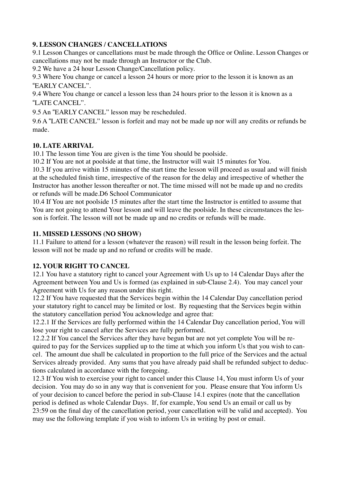### **9. LESSON CHANGES / CANCELLATIONS**

9.1 Lesson Changes or cancellations must be made through the Office or Online. Lesson Changes or cancellations may not be made through an Instructor or the Club.

9.2 We have a 24 hour Lesson Change/Cancellation policy.

9.3 Where You change or cancel a lesson 24 hours or more prior to the lesson it is known as an "EARLY CANCEL".

9.4 Where You change or cancel a lesson less than 24 hours prior to the lesson it is known as a "LATE CANCEL".

9.5 An "EARLY CANCEL" lesson may be rescheduled.

9.6 A "LATE CANCEL" lesson is forfeit and may not be made up nor will any credits or refunds be made.

#### **10. LATE ARRIVAL**

10.1 The lesson time You are given is the time You should be poolside.

10.2 If You are not at poolside at that time, the Instructor will wait 15 minutes for You.

10.3 If you arrive within 15 minutes of the start time the lesson will proceed as usual and will finish at the scheduled finish time, irrespective of the reason for the delay and irrespective of whether the Instructor has another lesson thereafter or not. The time missed will not be made up and no credits or refunds will be made.D6 School Communicator

10.4 If You are not poolside 15 minutes after the start time the Instructor is entitled to assume that You are not going to attend Your lesson and will leave the poolside. In these circumstances the lesson is forfeit. The lesson will not be made up and no credits or refunds will be made.

#### **11. MISSED LESSONS (NO SHOW)**

11.1 Failure to attend for a lesson (whatever the reason) will result in the lesson being forfeit. The lesson will not be made up and no refund or credits will be made.

#### **12. YOUR RIGHT TO CANCEL**

12.1 You have a statutory right to cancel your Agreement with Us up to 14 Calendar Days after the Agreement between You and Us is formed (as explained in sub-Clause 2.4). You may cancel your Agreement with Us for any reason under this right.

12.2 If You have requested that the Services begin within the 14 Calendar Day cancellation period your statutory right to cancel may be limited or lost. By requesting that the Services begin within the statutory cancellation period You acknowledge and agree that:

12.2.1 If the Services are fully performed within the 14 Calendar Day cancellation period, You will lose your right to cancel after the Services are fully performed.

12.2.2 If You cancel the Services after they have begun but are not yet complete You will be required to pay for the Services supplied up to the time at which you inform Us that you wish to cancel. The amount due shall be calculated in proportion to the full price of the Services and the actual Services already provided. Any sums that you have already paid shall be refunded subject to deductions calculated in accordance with the foregoing.

12.3 If You wish to exercise your right to cancel under this Clause 14, You must inform Us of your decision. You may do so in any way that is convenient for you. Please ensure that You inform Us of your decision to cancel before the period in sub-Clause 14.1 expires (note that the cancellation period is defined as whole Calendar Days. If, for example, You send Us an email or call us by 23:59 on the final day of the cancellation period, your cancellation will be valid and accepted). You may use the following template if you wish to inform Us in writing by post or email.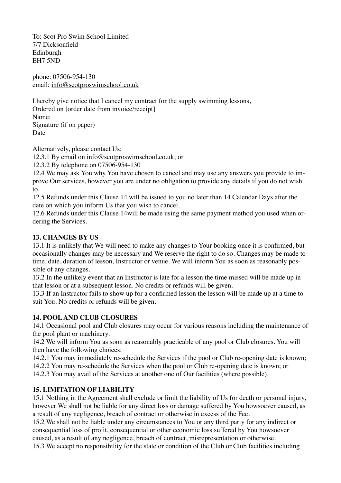To: Scot Pro Swim School Limited 7/7 Dicksonfield Edinburgh EH7 5ND

phone: 07506-954-130 email: [info@scotproswimschool.co.uk](mailto:info@scotproswimschool.co.uk)

I hereby give notice that I cancel my contract for the supply swimming lessons, Ordered on [order date from invoice/receipt] Name: Signature (if on paper) Date

Alternatively, please contact Us:

12.3.1 By email on info@scotproswimschool.co.uk; or

12.3.2 By telephone on 07506-954-130

12.4 We may ask You why You have chosen to cancel and may use any answers you provide to improve Our services, however you are under no obligation to provide any details if you do not wish to.

12.5 Refunds under this Clause 14 will be issued to you no later than 14 Calendar Days after the date on which you inform Us that you wish to cancel.

12.6 Refunds under this Clause 14will be made using the same payment method you used when ordering the Services.

### **13. CHANGES BY US**

13.1 It is unlikely that We will need to make any changes to Your booking once it is confirmed, but occasionally changes may be necessary and We reserve the right to do so. Changes may be made to time, date, duration of lesson, Instructor or venue. We will inform You as soon as reasonably possible of any changes.

13.2 In the unlikely event that an Instructor is late for a lesson the time missed will be made up in that lesson or at a subsequent lesson. No credits or refunds will be given.

13.3 If an Instructor fails to show up for a confirmed lesson the lesson will be made up at a time to suit You. No credits or refunds will be given.

#### **14. POOL AND CLUB CLOSURES**

14.1 Occasional pool and Club closures may occur for various reasons including the maintenance of the pool plant or machinery.

14.2 We will inform You as soon as reasonably practicable of any pool or Club closures. You will then have the following choices:

14.2.1 You may immediately re-schedule the Services if the pool or Club re-opening date is known;

14.2.2 You may re-schedule the Services when the pool or Club re-opening date is known; or

14.2.3 You may avail of the Services at another one of Our facilities (where possible).

#### **15. LIMITATION OF LIABILITY**

15.1 Nothing in the Agreement shall exclude or limit the liability of Us for death or personal injury, however We shall not be liable for any direct loss or damage suffered by You howsoever caused, as a result of any negligence, breach of contract or otherwise in excess of the Fee.

15.2 We shall not be liable under any circumstances to You or any third party for any indirect or consequential loss of profit, consequential or other economic loss suffered by You howsoever caused, as a result of any negligence, breach of contract, misrepresentation or otherwise.

15.3 We accept no responsibility for the state or condition of the Club or Club facilities including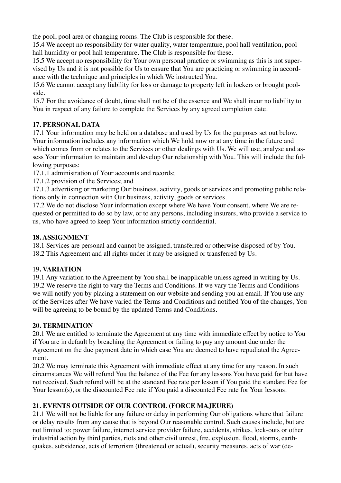the pool, pool area or changing rooms. The Club is responsible for these.

15.4 We accept no responsibility for water quality, water temperature, pool hall ventilation, pool hall humidity or pool hall temperature. The Club is responsible for these.

15.5 We accept no responsibility for Your own personal practice or swimming as this is not supervised by Us and it is not possible for Us to ensure that You are practicing or swimming in accordance with the technique and principles in which We instructed You.

15.6 We cannot accept any liability for loss or damage to property left in lockers or brought poolside.

15.7 For the avoidance of doubt, time shall not be of the essence and We shall incur no liability to You in respect of any failure to complete the Services by any agreed completion date.

# **17. PERSONAL DATA**

17.1 Your information may be held on a database and used by Us for the purposes set out below. Your information includes any information which We hold now or at any time in the future and which comes from or relates to the Services or other dealings with Us. We will use, analyse and assess Your information to maintain and develop Our relationship with You. This will include the following purposes:

17.1.1 administration of Your accounts and records;

17.1.2 provision of the Services; and

17.1.3 advertising or marketing Our business, activity, goods or services and promoting public relations only in connection with Our business, activity, goods or services.

17.2 We do not disclose Your information except where We have Your consent, where We are requested or permitted to do so by law, or to any persons, including insurers, who provide a service to us, who have agreed to keep Your information strictly confidential.

### **18. ASSIGNMENT**

18.1 Services are personal and cannot be assigned, transferred or otherwise disposed of by You. 18.2 This Agreement and all rights under it may be assigned or transferred by Us.

# 19**. VARIATION**

19.1 Any variation to the Agreement by You shall be inapplicable unless agreed in writing by Us. 19.2 We reserve the right to vary the Terms and Conditions. If we vary the Terms and Conditions we will notify you by placing a statement on our website and sending you an email. If You use any of the Services after We have varied the Terms and Conditions and notified You of the changes, You will be agreeing to be bound by the updated Terms and Conditions.

# **20. TERMINATION**

20.1 We are entitled to terminate the Agreement at any time with immediate effect by notice to You if You are in default by breaching the Agreement or failing to pay any amount due under the Agreement on the due payment date in which case You are deemed to have repudiated the Agreement.

20.2 We may terminate this Agreement with immediate effect at any time for any reason. In such circumstances We will refund You the balance of the Fee for any lessons You have paid for but have not received. Such refund will be at the standard Fee rate per lesson if You paid the standard Fee for Your lesson(s), or the discounted Fee rate if You paid a discounted Fee rate for Your lessons.

# **21. EVENTS OUTSIDE OF OUR CONTROL (FORCE MAJEURE**)

21.1 We will not be liable for any failure or delay in performing Our obligations where that failure or delay results from any cause that is beyond Our reasonable control. Such causes include, but are not limited to: power failure, internet service provider failure, accidents, strikes, lock-outs or other industrial action by third parties, riots and other civil unrest, fire, explosion, flood, storms, earthquakes, subsidence, acts of terrorism (threatened or actual), security measures, acts of war (de